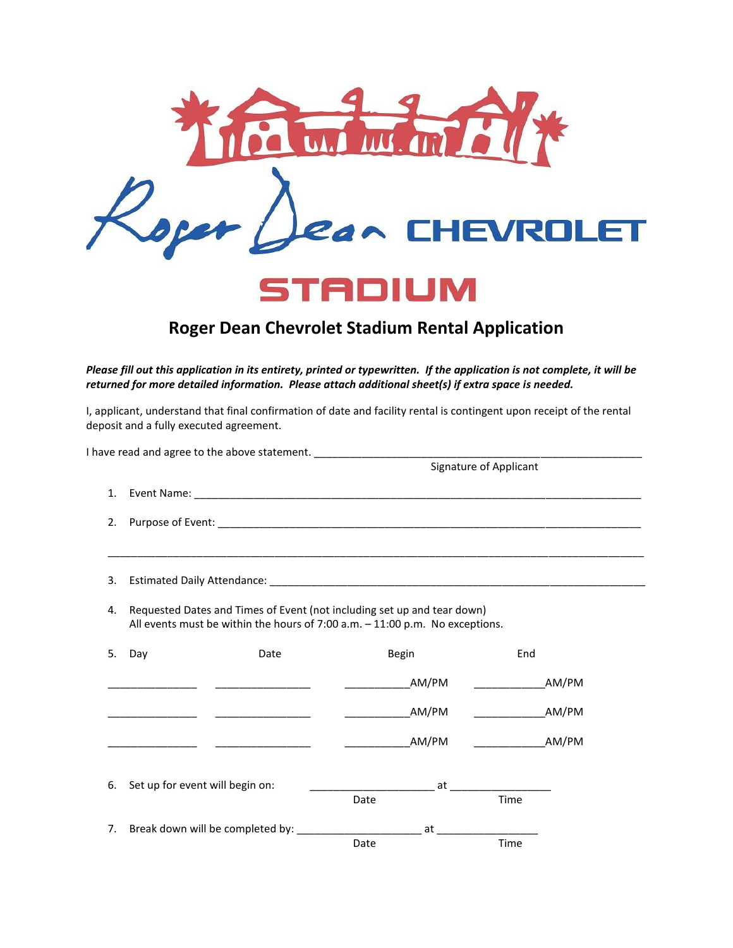

## **Roger Dean Chevrolet Stadium Rental Application**

*Please fill out this application in its entirety, printed or typewritten. If the application is not complete, it will be returned for more detailed information. Please attach additional sheet(s) if extra space is needed.*

I, applicant, understand that final confirmation of date and facility rental is contingent upon receipt of the rental deposit and a fully executed agreement.

|    | I have read and agree to the above statement.                                                                                                           |                                                                                                                |                           |
|----|---------------------------------------------------------------------------------------------------------------------------------------------------------|----------------------------------------------------------------------------------------------------------------|---------------------------|
|    |                                                                                                                                                         |                                                                                                                | Signature of Applicant    |
| 1. |                                                                                                                                                         |                                                                                                                |                           |
| 2. |                                                                                                                                                         |                                                                                                                |                           |
| 3. |                                                                                                                                                         |                                                                                                                |                           |
| 4. | Requested Dates and Times of Event (not including set up and tear down)<br>All events must be within the hours of 7:00 a.m. - 11:00 p.m. No exceptions. |                                                                                                                |                           |
| 5. | Day<br>Date                                                                                                                                             | Begin                                                                                                          | End                       |
|    | ________________<br>______________________                                                                                                              | AM/PM                                                                                                          | AM/PM                     |
|    |                                                                                                                                                         | <b>AM/PM</b>                                                                                                   | <b>Example 2018 AM/PM</b> |
|    |                                                                                                                                                         | AM/PM                                                                                                          | AM/PM                     |
| 6. | Set up for event will begin on:<br>at the state of the state of the state of the state of the state of the state of the state of the state of the       |                                                                                                                |                           |
|    |                                                                                                                                                         | Date                                                                                                           | Time                      |
| 7. | Break down will be completed by: _________                                                                                                              | and the state of the state of the state of the state of the state of the state of the state of the state of th |                           |
|    |                                                                                                                                                         | Date                                                                                                           | Time                      |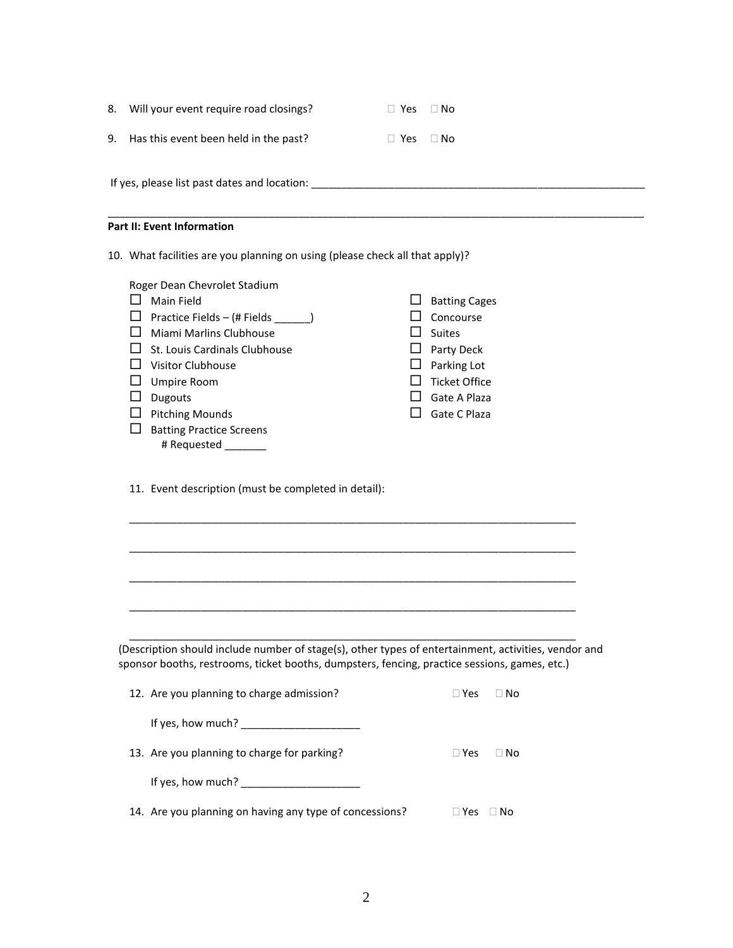|                                   | 10. What facilities are you planning on using (please check all that apply)? |            |           |  |  |
|-----------------------------------|------------------------------------------------------------------------------|------------|-----------|--|--|
| <b>Part II: Event Information</b> |                                                                              |            |           |  |  |
|                                   |                                                                              |            |           |  |  |
|                                   | If yes, please list past dates and location:                                 |            |           |  |  |
| 9.                                | Has this event been held in the past?                                        | $\Box$ Yes | $\Box$ No |  |  |
| 8.                                | Will your event require road closings?                                       | $\Box$ Yes | $\Box$ No |  |  |

| Roger Dean Chevrolet Stadium<br>Main Field<br>Practice Fields - (# Fields ________)<br>Miami Marlins Clubhouse<br>St. Louis Cardinals Clubhouse<br><b>Visitor Clubhouse</b><br>Umpire Room<br><b>Dugouts</b><br><b>Pitching Mounds</b><br><b>Batting Practice Screens</b><br># Requested | H<br>. . | <b>Batting Cages</b><br>Concourse<br><b>Suites</b><br>Party Deck<br>Parking Lot<br><b>Ticket Office</b><br>Gate A Plaza<br>Gate C Plaza |  |  |  |
|------------------------------------------------------------------------------------------------------------------------------------------------------------------------------------------------------------------------------------------------------------------------------------------|----------|-----------------------------------------------------------------------------------------------------------------------------------------|--|--|--|
| 11. Event description (must be completed in detail):                                                                                                                                                                                                                                     |          |                                                                                                                                         |  |  |  |
|                                                                                                                                                                                                                                                                                          |          |                                                                                                                                         |  |  |  |

(Description should include number of stage(s), other types of entertainment, activities, vendor and sponsor booths, restrooms, ticket booths, dumpsters, fencing, practice sessions, games, etc.)

\_\_\_\_\_\_\_\_\_\_\_\_\_\_\_\_\_\_\_\_\_\_\_\_\_\_\_\_\_\_\_\_\_\_\_\_\_\_\_\_\_\_\_\_\_\_\_\_\_\_\_\_\_\_\_\_\_\_\_\_\_\_\_\_\_\_\_\_\_\_\_\_\_\_\_

| 12. Are you planning to charge admission?               | $\sqcap$ Yes | $\Box$ No |
|---------------------------------------------------------|--------------|-----------|
| If yes, how much?                                       |              |           |
| 13. Are you planning to charge for parking?             | $\Box$ Yes   | $\Box$ No |
| If yes, how much?                                       |              |           |
| 14. Are you planning on having any type of concessions? | <b>Yes</b>   | ⊟ No      |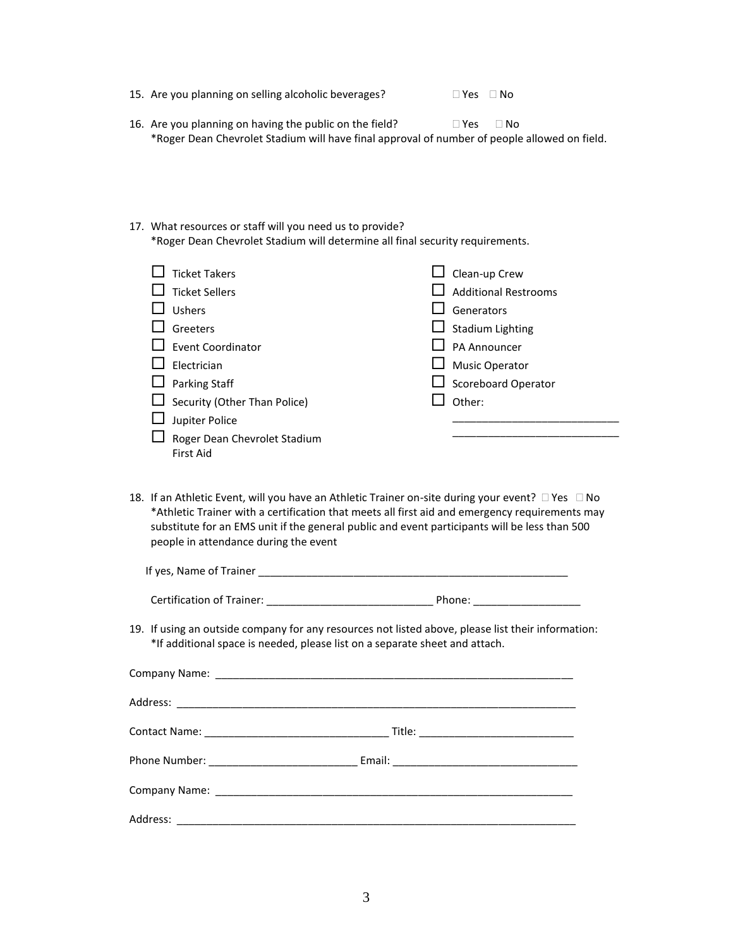- 15. Are you planning on selling alcoholic beverages?  $\Box$  Yes  $\Box$  No
- 16. Are you planning on having the public on the field?  $\Box$  Yes  $\Box$  No \*Roger Dean Chevrolet Stadium will have final approval of number of people allowed on field.
- 17. What resources or staff will you need us to provide? \*Roger Dean Chevrolet Stadium will determine all final security requirements.

| <b>Ticket Takers</b>                                    | $\Box$ Clean-up Crew        |
|---------------------------------------------------------|-----------------------------|
| $\Box$ Ticket Sellers                                   | <b>Additional Restrooms</b> |
| Ushers                                                  | Generators                  |
| Greeters                                                | $\Box$ Stadium Lighting     |
| $\Box$ Event Coordinator                                | PA Announcer                |
| Electrician                                             | $\Box$ Music Operator       |
| $\Box$ Parking Staff                                    | $\Box$ Scoreboard Operator  |
| $\Box$ Security (Other Than Police)                     | Other:                      |
| Jupiter Police                                          |                             |
| $\Box$ Roger Dean Chevrolet Stadium<br><b>First Aid</b> |                             |

18. If an Athletic Event, will you have an Athletic Trainer on-site during your event?  $\Box$  Yes  $\Box$  No \*Athletic Trainer with a certification that meets all first aid and emergency requirements may substitute for an EMS unit if the general public and event participants will be less than 500 people in attendance during the event

| If yes, Name of Trainer                                                                            |        |  |
|----------------------------------------------------------------------------------------------------|--------|--|
| Certification of Trainer:                                                                          | Phone: |  |
| 19. If using an outside company for any resources not listed above, please list their information: |        |  |

\*If additional space is needed, please list on a separate sheet and attach.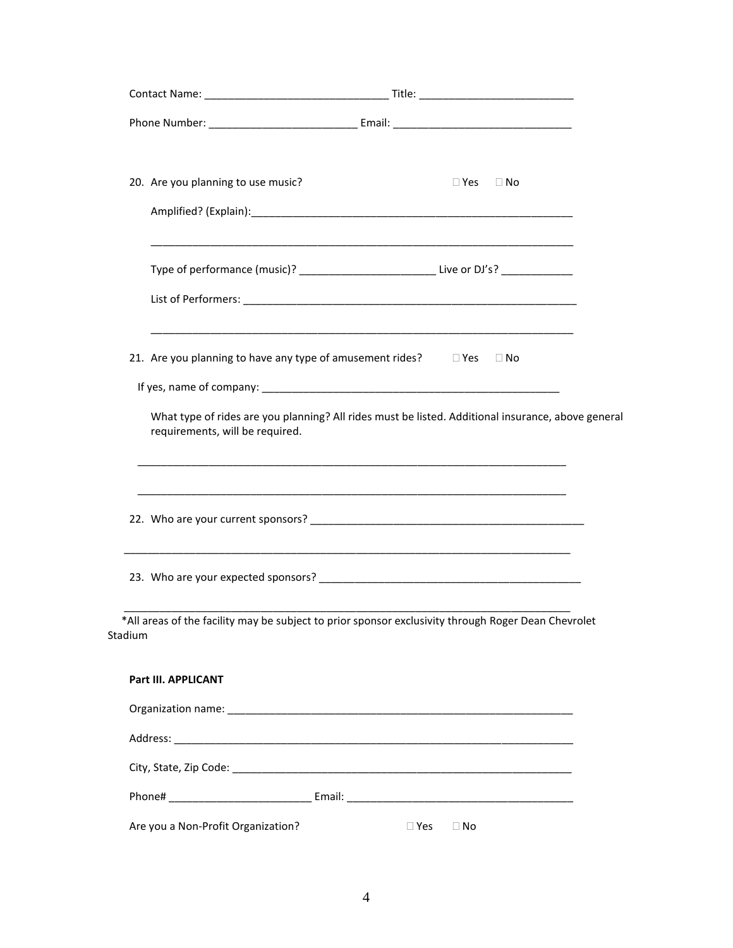| 20. Are you planning to use music? | $\Box$ Yes $\Box$ No                                                                                                                                                                                       |
|------------------------------------|------------------------------------------------------------------------------------------------------------------------------------------------------------------------------------------------------------|
|                                    |                                                                                                                                                                                                            |
|                                    | Type of performance (music)? _______________________________Live or DJ's? ______________                                                                                                                   |
|                                    |                                                                                                                                                                                                            |
|                                    | <u> 1980 - Jan James James James James James James James James James James James James James James James James</u><br>21. Are you planning to have any type of amusement rides? $\square$ Yes $\square$ No |
|                                    |                                                                                                                                                                                                            |
| requirements, will be required.    | What type of rides are you planning? All rides must be listed. Additional insurance, above general                                                                                                         |
|                                    |                                                                                                                                                                                                            |
|                                    |                                                                                                                                                                                                            |
| Stadium                            | *All areas of the facility may be subject to prior sponsor exclusivity through Roger Dean Chevrolet                                                                                                        |
| Part III. APPLICANT                |                                                                                                                                                                                                            |
|                                    |                                                                                                                                                                                                            |
|                                    |                                                                                                                                                                                                            |
|                                    |                                                                                                                                                                                                            |
|                                    |                                                                                                                                                                                                            |
| Are you a Non-Profit Organization? | $\square$ Yes<br>$\Box$ No                                                                                                                                                                                 |